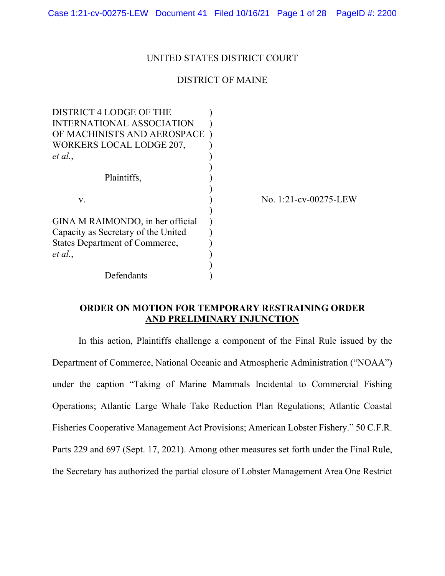Case 1:21-cv-00275-LEW Document 41 Filed 10/16/21 Page 1 of 28 PageID #: 2200

### UNITED STATES DISTRICT COURT

### DISTRICT OF MAINE

| DISTRICT 4 LODGE OF THE               |                       |
|---------------------------------------|-----------------------|
| INTERNATIONAL ASSOCIATION             |                       |
| OF MACHINISTS AND AEROSPACE           |                       |
| WORKERS LOCAL LODGE 207,              |                       |
| et al.,                               |                       |
|                                       |                       |
| Plaintiffs,                           |                       |
|                                       |                       |
| V.                                    | No. 1:21-cv-00275-LEW |
|                                       |                       |
| GINA M RAIMONDO, in her official      |                       |
| Capacity as Secretary of the United   |                       |
| <b>States Department of Commerce,</b> |                       |
| et al.,                               |                       |
|                                       |                       |
| Defendants                            |                       |

# **ORDER ON MOTION FOR TEMPORARY RESTRAINING ORDER AND PRELIMINARY INJUNCTION**

In this action, Plaintiffs challenge a component of the Final Rule issued by the Department of Commerce, National Oceanic and Atmospheric Administration ("NOAA") under the caption "Taking of Marine Mammals Incidental to Commercial Fishing Operations; Atlantic Large Whale Take Reduction Plan Regulations; Atlantic Coastal Fisheries Cooperative Management Act Provisions; American Lobster Fishery." 50 C.F.R. Parts 229 and 697 (Sept. 17, 2021). Among other measures set forth under the Final Rule, the Secretary has authorized the partial closure of Lobster Management Area One Restrict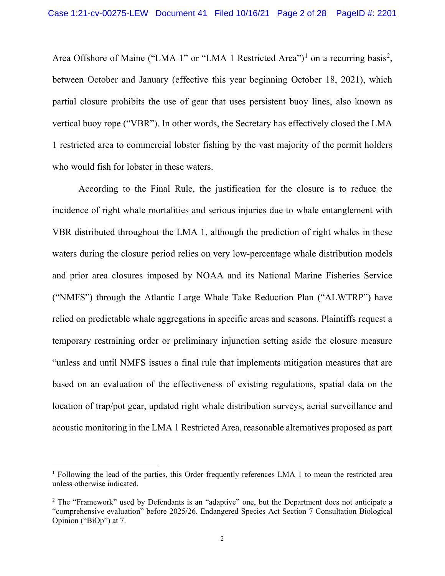Area Offshore of Maine ("LMA 1" or "LMA 1 Restricted Area")<sup>1</sup> on a recurring basis<sup>2</sup>, between October and January (effective this year beginning October 18, 2021), which partial closure prohibits the use of gear that uses persistent buoy lines, also known as vertical buoy rope ("VBR"). In other words, the Secretary has effectively closed the LMA 1 restricted area to commercial lobster fishing by the vast majority of the permit holders who would fish for lobster in these waters.

According to the Final Rule, the justification for the closure is to reduce the incidence of right whale mortalities and serious injuries due to whale entanglement with VBR distributed throughout the LMA 1, although the prediction of right whales in these waters during the closure period relies on very low-percentage whale distribution models and prior area closures imposed by NOAA and its National Marine Fisheries Service ("NMFS") through the Atlantic Large Whale Take Reduction Plan ("ALWTRP") have relied on predictable whale aggregations in specific areas and seasons. Plaintiffs request a temporary restraining order or preliminary injunction setting aside the closure measure "unless and until NMFS issues a final rule that implements mitigation measures that are based on an evaluation of the effectiveness of existing regulations, spatial data on the location of trap/pot gear, updated right whale distribution surveys, aerial surveillance and acoustic monitoring in the LMA 1 Restricted Area, reasonable alternatives proposed as part

<sup>1</sup> Following the lead of the parties, this Order frequently references LMA 1 to mean the restricted area unless otherwise indicated.

<sup>&</sup>lt;sup>2</sup> The "Framework" used by Defendants is an "adaptive" one, but the Department does not anticipate a "comprehensive evaluation" before 2025/26. Endangered Species Act Section 7 Consultation Biological Opinion ("BiOp") at 7.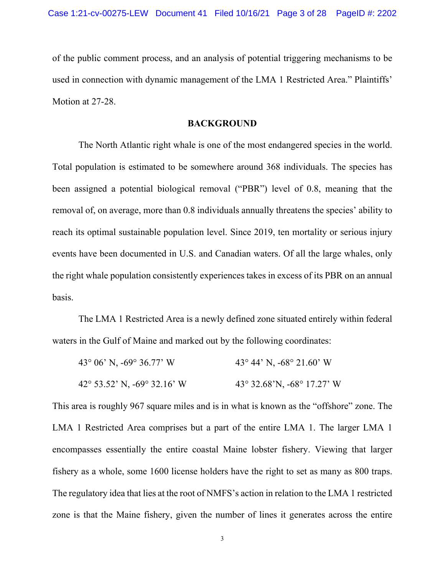of the public comment process, and an analysis of potential triggering mechanisms to be used in connection with dynamic management of the LMA 1 Restricted Area." Plaintiffs' Motion at 27-28.

### **BACKGROUND**

The North Atlantic right whale is one of the most endangered species in the world. Total population is estimated to be somewhere around 368 individuals. The species has been assigned a potential biological removal ("PBR") level of 0.8, meaning that the removal of, on average, more than 0.8 individuals annually threatens the species' ability to reach its optimal sustainable population level. Since 2019, ten mortality or serious injury events have been documented in U.S. and Canadian waters. Of all the large whales, only the right whale population consistently experiences takes in excess of its PBR on an annual basis.

 The LMA 1 Restricted Area is a newly defined zone situated entirely within federal waters in the Gulf of Maine and marked out by the following coordinates:

| 43 $\degree$ 06' N, -69 $\degree$ 36.77' W     | 43° 44' N, $-68^\circ$ 21.60' W |
|------------------------------------------------|---------------------------------|
| $42^{\circ}$ 53.52' N, -69 $^{\circ}$ 32.16' W | 43° 32.68'N, -68° 17.27' W      |

This area is roughly 967 square miles and is in what is known as the "offshore" zone. The LMA 1 Restricted Area comprises but a part of the entire LMA 1. The larger LMA 1 encompasses essentially the entire coastal Maine lobster fishery. Viewing that larger fishery as a whole, some 1600 license holders have the right to set as many as 800 traps. The regulatory idea that lies at the root of NMFS's action in relation to the LMA 1 restricted zone is that the Maine fishery, given the number of lines it generates across the entire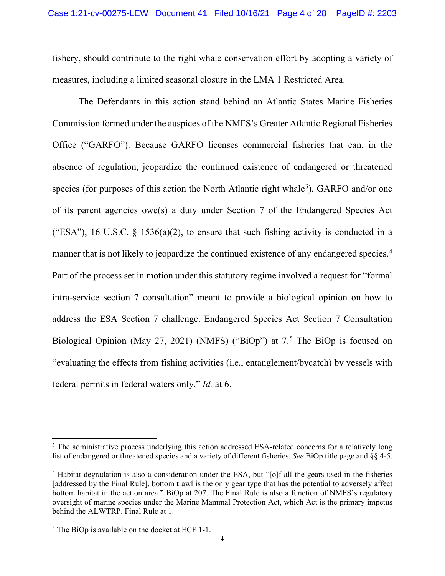fishery, should contribute to the right whale conservation effort by adopting a variety of measures, including a limited seasonal closure in the LMA 1 Restricted Area.

The Defendants in this action stand behind an Atlantic States Marine Fisheries Commission formed under the auspices of the NMFS's Greater Atlantic Regional Fisheries Office ("GARFO"). Because GARFO licenses commercial fisheries that can, in the absence of regulation, jeopardize the continued existence of endangered or threatened species (for purposes of this action the North Atlantic right whale<sup>3</sup>), GARFO and/or one of its parent agencies owe(s) a duty under Section 7 of the Endangered Species Act ("ESA"), 16 U.S.C.  $\S$  1536(a)(2), to ensure that such fishing activity is conducted in a manner that is not likely to jeopardize the continued existence of any endangered species.<sup>4</sup> Part of the process set in motion under this statutory regime involved a request for "formal intra-service section 7 consultation" meant to provide a biological opinion on how to address the ESA Section 7 challenge. Endangered Species Act Section 7 Consultation Biological Opinion (May 27, 2021) (NMFS) ("BiOp") at 7.<sup>5</sup> The BiOp is focused on "evaluating the effects from fishing activities (i.e., entanglement/bycatch) by vessels with federal permits in federal waters only." *Id.* at 6.

<sup>&</sup>lt;sup>3</sup> The administrative process underlying this action addressed ESA-related concerns for a relatively long list of endangered or threatened species and a variety of different fisheries. *See* BiOp title page and §§ 4-5.

<sup>4</sup> Habitat degradation is also a consideration under the ESA, but "[o]f all the gears used in the fisheries [addressed by the Final Rule], bottom trawl is the only gear type that has the potential to adversely affect bottom habitat in the action area." BiOp at 207. The Final Rule is also a function of NMFS's regulatory oversight of marine species under the Marine Mammal Protection Act, which Act is the primary impetus behind the ALWTRP. Final Rule at 1.

 $<sup>5</sup>$  The BiOp is available on the docket at ECF 1-1.</sup>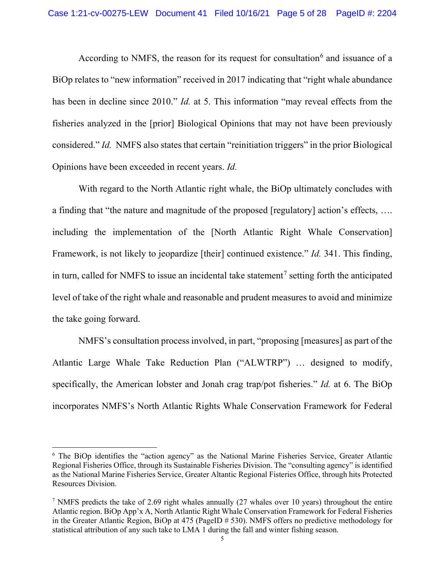According to NMFS, the reason for its request for consultation<sup>6</sup> and issuance of a BiOp relates to "new information" received in 2017 indicating that "right whale abundance has been in decline since 2010." *Id.* at 5. This information "may reveal effects from the fisheries analyzed in the [prior] Biological Opinions that may not have been previously considered." *Id.* NMFS also states that certain "reinitiation triggers" in the prior Biological Opinions have been exceeded in recent years. *Id.*

With regard to the North Atlantic right whale, the BiOp ultimately concludes with a finding that "the nature and magnitude of the proposed [regulatory] action's effects, …. including the implementation of the [North Atlantic Right Whale Conservation] Framework, is not likely to jeopardize [their] continued existence." *Id.* 341. This finding, in turn, called for NMFS to issue an incidental take statement<sup>7</sup> setting forth the anticipated level of take of the right whale and reasonable and prudent measures to avoid and minimize the take going forward.

 NMFS's consultation process involved, in part, "proposing [measures] as part of the Atlantic Large Whale Take Reduction Plan ("ALWTRP") … designed to modify, specifically, the American lobster and Jonah crag trap/pot fisheries." *Id.* at 6. The BiOp incorporates NMFS's North Atlantic Rights Whale Conservation Framework for Federal

<sup>6</sup> The BiOp identifies the "action agency" as the National Marine Fisheries Service, Greater Atlantic Regional Fisheries Office, through its Sustainable Fisheries Division. The "consulting agency" is identified as the National Marine Fisheries Service, Greater Altantic Regional Fisteries Office, through hits Protected Resources Division.

<sup>&</sup>lt;sup>7</sup> NMFS predicts the take of 2.69 right whales annually (27 whales over 10 years) throughout the entire Atlantic region. BiOp App'x A, North Atlantic Right Whale Conservation Framework for Federal Fisheries in the Greater Atlantic Region, BiOp at 475 (PageID # 530). NMFS offers no predictive methodology for statistical attribution of any such take to LMA 1 during the fall and winter fishing season.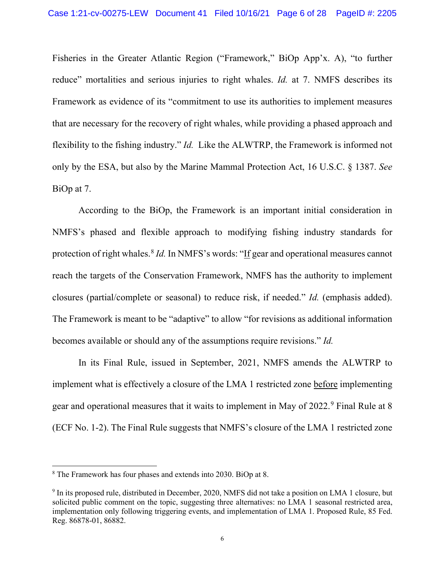Fisheries in the Greater Atlantic Region ("Framework," BiOp App'x. A), "to further reduce" mortalities and serious injuries to right whales. *Id.* at 7. NMFS describes its Framework as evidence of its "commitment to use its authorities to implement measures that are necessary for the recovery of right whales, while providing a phased approach and flexibility to the fishing industry." *Id.* Like the ALWTRP, the Framework is informed not only by the ESA, but also by the Marine Mammal Protection Act, 16 U.S.C. § 1387. *See*  BiOp at 7.

According to the BiOp, the Framework is an important initial consideration in NMFS's phased and flexible approach to modifying fishing industry standards for protection of right whales.<sup>8</sup> *Id.* In NMFS's words: "If gear and operational measures cannot reach the targets of the Conservation Framework, NMFS has the authority to implement closures (partial/complete or seasonal) to reduce risk, if needed." *Id.* (emphasis added). The Framework is meant to be "adaptive" to allow "for revisions as additional information becomes available or should any of the assumptions require revisions." *Id.*

 In its Final Rule, issued in September, 2021, NMFS amends the ALWTRP to implement what is effectively a closure of the LMA 1 restricted zone before implementing gear and operational measures that it waits to implement in May of 2022.<sup>9</sup> Final Rule at 8 (ECF No. 1-2). The Final Rule suggests that NMFS's closure of the LMA 1 restricted zone

<sup>8</sup> The Framework has four phases and extends into 2030. BiOp at 8.

<sup>&</sup>lt;sup>9</sup> In its proposed rule, distributed in December, 2020, NMFS did not take a position on LMA 1 closure, but solicited public comment on the topic, suggesting three alternatives: no LMA 1 seasonal restricted area, implementation only following triggering events, and implementation of LMA 1. Proposed Rule, 85 Fed. Reg. 86878-01, 86882.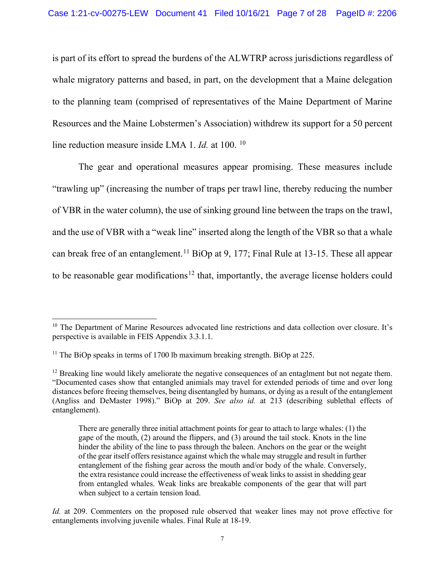is part of its effort to spread the burdens of the ALWTRP across jurisdictions regardless of whale migratory patterns and based, in part, on the development that a Maine delegation to the planning team (comprised of representatives of the Maine Department of Marine Resources and the Maine Lobstermen's Association) withdrew its support for a 50 percent line reduction measure inside LMA 1. *Id.* at 100. 10

The gear and operational measures appear promising. These measures include "trawling up" (increasing the number of traps per trawl line, thereby reducing the number of VBR in the water column), the use of sinking ground line between the traps on the trawl, and the use of VBR with a "weak line" inserted along the length of the VBR so that a whale can break free of an entanglement.<sup>11</sup> BiOp at 9, 177; Final Rule at 13-15. These all appear to be reasonable gear modifications<sup>12</sup> that, importantly, the average license holders could

<sup>&</sup>lt;sup>10</sup> The Department of Marine Resources advocated line restrictions and data collection over closure. It's perspective is available in FEIS Appendix 3.3.1.1.

<sup>&</sup>lt;sup>11</sup> The BiOp speaks in terms of 1700 lb maximum breaking strength. BiOp at 225.

 $12$  Breaking line would likely ameliorate the negative consequences of an entaglment but not negate them. "Documented cases show that entangled animials may travel for extended periods of time and over long distances before freeing themselves, being disentangled by humans, or dying as a result of the entanglement (Angliss and DeMaster 1998)." BiOp at 209. *See also id.* at 213 (describing sublethal effects of entanglement).

There are generally three initial attachment points for gear to attach to large whales: (1) the gape of the mouth, (2) around the flippers, and (3) around the tail stock. Knots in the line hinder the ability of the line to pass through the baleen. Anchors on the gear or the weight of the gear itself offers resistance against which the whale may struggle and result in further entanglement of the fishing gear across the mouth and/or body of the whale. Conversely, the extra resistance could increase the effectiveness of weak links to assist in shedding gear from entangled whales. Weak links are breakable components of the gear that will part when subject to a certain tension load.

*Id.* at 209. Commenters on the proposed rule observed that weaker lines may not prove effective for entanglements involving juvenile whales. Final Rule at 18-19.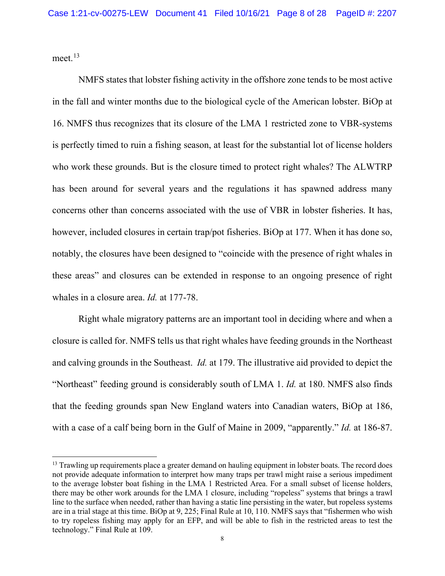meet.<sup>13</sup>

 NMFS states that lobster fishing activity in the offshore zone tends to be most active in the fall and winter months due to the biological cycle of the American lobster. BiOp at 16. NMFS thus recognizes that its closure of the LMA 1 restricted zone to VBR-systems is perfectly timed to ruin a fishing season, at least for the substantial lot of license holders who work these grounds. But is the closure timed to protect right whales? The ALWTRP has been around for several years and the regulations it has spawned address many concerns other than concerns associated with the use of VBR in lobster fisheries. It has, however, included closures in certain trap/pot fisheries. BiOp at 177. When it has done so, notably, the closures have been designed to "coincide with the presence of right whales in these areas" and closures can be extended in response to an ongoing presence of right whales in a closure area. *Id.* at 177-78.

 Right whale migratory patterns are an important tool in deciding where and when a closure is called for. NMFS tells us that right whales have feeding grounds in the Northeast and calving grounds in the Southeast. *Id.* at 179. The illustrative aid provided to depict the "Northeast" feeding ground is considerably south of LMA 1. *Id.* at 180. NMFS also finds that the feeding grounds span New England waters into Canadian waters, BiOp at 186, with a case of a calf being born in the Gulf of Maine in 2009, "apparently." *Id.* at 186-87.

<sup>&</sup>lt;sup>13</sup> Trawling up requirements place a greater demand on hauling equipment in lobster boats. The record does not provide adequate information to interpret how many traps per trawl might raise a serious impediment to the average lobster boat fishing in the LMA 1 Restricted Area. For a small subset of license holders, there may be other work arounds for the LMA 1 closure, including "ropeless" systems that brings a trawl line to the surface when needed, rather than having a static line persisting in the water, but ropeless systems are in a trial stage at this time. BiOp at 9, 225; Final Rule at 10, 110. NMFS says that "fishermen who wish to try ropeless fishing may apply for an EFP, and will be able to fish in the restricted areas to test the technology." Final Rule at 109.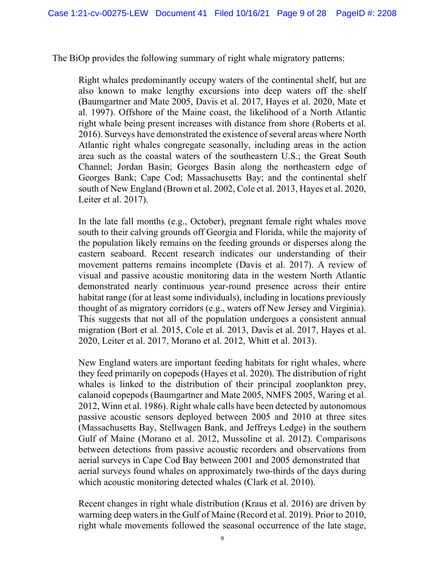The BiOp provides the following summary of right whale migratory patterns:

Right whales predominantly occupy waters of the continental shelf, but are also known to make lengthy excursions into deep waters off the shelf (Baumgartner and Mate 2005, Davis et al. 2017, Hayes et al. 2020, Mate et al. 1997). Offshore of the Maine coast, the likelihood of a North Atlantic right whale being present increases with distance from shore (Roberts et al. 2016). Surveys have demonstrated the existence of several areas where North Atlantic right whales congregate seasonally, including areas in the action area such as the coastal waters of the southeastern U.S.; the Great South Channel; Jordan Basin; Georges Basin along the northeastern edge of Georges Bank; Cape Cod; Massachusetts Bay; and the continental shelf south of New England (Brown et al. 2002, Cole et al. 2013, Hayes et al. 2020, Leiter et al. 2017).

In the late fall months (e.g., October), pregnant female right whales move south to their calving grounds off Georgia and Florida, while the majority of the population likely remains on the feeding grounds or disperses along the eastern seaboard. Recent research indicates our understanding of their movement patterns remains incomplete (Davis et al. 2017). A review of visual and passive acoustic monitoring data in the western North Atlantic demonstrated nearly continuous year-round presence across their entire habitat range (for at least some individuals), including in locations previously thought of as migratory corridors (e.g., waters off New Jersey and Virginia). This suggests that not all of the population undergoes a consistent annual migration (Bort et al. 2015, Cole et al. 2013, Davis et al. 2017, Hayes et al. 2020, Leiter et al. 2017, Morano et al. 2012, Whitt et al. 2013).

New England waters are important feeding habitats for right whales, where they feed primarily on copepods (Hayes et al. 2020). The distribution of right whales is linked to the distribution of their principal zooplankton prey, calanoid copepods (Baumgartner and Mate 2005, NMFS 2005, Waring et al. 2012, Winn et al. 1986). Right whale calls have been detected by autonomous passive acoustic sensors deployed between 2005 and 2010 at three sites (Massachusetts Bay, Stellwagen Bank, and Jeffreys Ledge) in the southern Gulf of Maine (Morano et al. 2012, Mussoline et al. 2012). Comparisons between detections from passive acoustic recorders and observations from aerial surveys in Cape Cod Bay between 2001 and 2005 demonstrated that aerial surveys found whales on approximately two-thirds of the days during which acoustic monitoring detected whales (Clark et al. 2010).

Recent changes in right whale distribution (Kraus et al. 2016) are driven by warming deep waters in the Gulf of Maine (Record et al. 2019). Prior to 2010, right whale movements followed the seasonal occurrence of the late stage,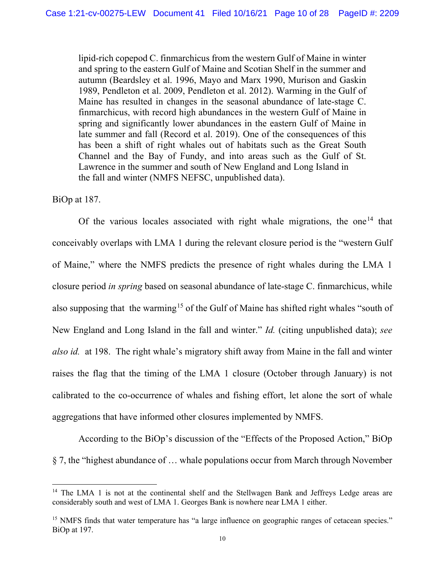lipid-rich copepod C. finmarchicus from the western Gulf of Maine in winter and spring to the eastern Gulf of Maine and Scotian Shelf in the summer and autumn (Beardsley et al. 1996, Mayo and Marx 1990, Murison and Gaskin 1989, Pendleton et al. 2009, Pendleton et al. 2012). Warming in the Gulf of Maine has resulted in changes in the seasonal abundance of late-stage C. finmarchicus, with record high abundances in the western Gulf of Maine in spring and significantly lower abundances in the eastern Gulf of Maine in late summer and fall (Record et al. 2019). One of the consequences of this has been a shift of right whales out of habitats such as the Great South Channel and the Bay of Fundy, and into areas such as the Gulf of St. Lawrence in the summer and south of New England and Long Island in the fall and winter (NMFS NEFSC, unpublished data).

BiOp at 187.

Of the various locales associated with right whale migrations, the one<sup>14</sup> that conceivably overlaps with LMA 1 during the relevant closure period is the "western Gulf of Maine," where the NMFS predicts the presence of right whales during the LMA 1 closure period *in spring* based on seasonal abundance of late-stage C. finmarchicus, while also supposing that the warming<sup>15</sup> of the Gulf of Maine has shifted right whales "south of New England and Long Island in the fall and winter." *Id.* (citing unpublished data); *see also id.* at 198. The right whale's migratory shift away from Maine in the fall and winter raises the flag that the timing of the LMA 1 closure (October through January) is not calibrated to the co-occurrence of whales and fishing effort, let alone the sort of whale aggregations that have informed other closures implemented by NMFS.

According to the BiOp's discussion of the "Effects of the Proposed Action," BiOp § 7, the "highest abundance of … whale populations occur from March through November

<sup>&</sup>lt;sup>14</sup> The LMA 1 is not at the continental shelf and the Stellwagen Bank and Jeffreys Ledge areas are considerably south and west of LMA 1. Georges Bank is nowhere near LMA 1 either.

<sup>&</sup>lt;sup>15</sup> NMFS finds that water temperature has "a large influence on geographic ranges of cetacean species." BiOp at 197.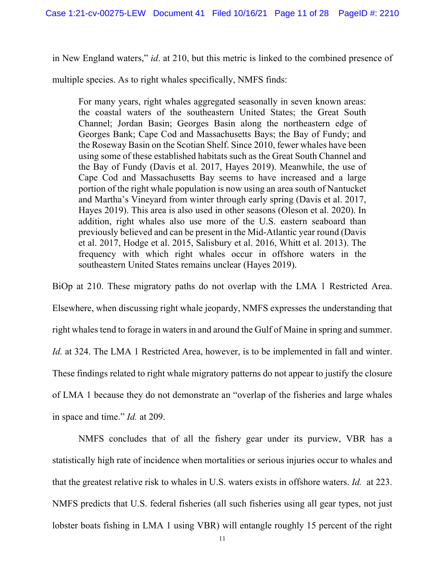in New England waters," *id*. at 210, but this metric is linked to the combined presence of

multiple species. As to right whales specifically, NMFS finds:

For many years, right whales aggregated seasonally in seven known areas: the coastal waters of the southeastern United States; the Great South Channel; Jordan Basin; Georges Basin along the northeastern edge of Georges Bank; Cape Cod and Massachusetts Bays; the Bay of Fundy; and the Roseway Basin on the Scotian Shelf. Since 2010, fewer whales have been using some of these established habitats such as the Great South Channel and the Bay of Fundy (Davis et al. 2017, Hayes 2019). Meanwhile, the use of Cape Cod and Massachusetts Bay seems to have increased and a large portion of the right whale population is now using an area south of Nantucket and Martha's Vineyard from winter through early spring (Davis et al. 2017, Hayes 2019). This area is also used in other seasons (Oleson et al. 2020). In addition, right whales also use more of the U.S. eastern seaboard than previously believed and can be present in the Mid-Atlantic year round (Davis et al. 2017, Hodge et al. 2015, Salisbury et al. 2016, Whitt et al. 2013). The frequency with which right whales occur in offshore waters in the southeastern United States remains unclear (Hayes 2019).

BiOp at 210. These migratory paths do not overlap with the LMA 1 Restricted Area. Elsewhere, when discussing right whale jeopardy, NMFS expresses the understanding that right whales tend to forage in waters in and around the Gulf of Maine in spring and summer. *Id.* at 324. The LMA 1 Restricted Area, however, is to be implemented in fall and winter. These findings related to right whale migratory patterns do not appear to justify the closure of LMA 1 because they do not demonstrate an "overlap of the fisheries and large whales in space and time." *Id.* at 209.

NMFS concludes that of all the fishery gear under its purview, VBR has a statistically high rate of incidence when mortalities or serious injuries occur to whales and that the greatest relative risk to whales in U.S. waters exists in offshore waters. *Id.* at 223. NMFS predicts that U.S. federal fisheries (all such fisheries using all gear types, not just lobster boats fishing in LMA 1 using VBR) will entangle roughly 15 percent of the right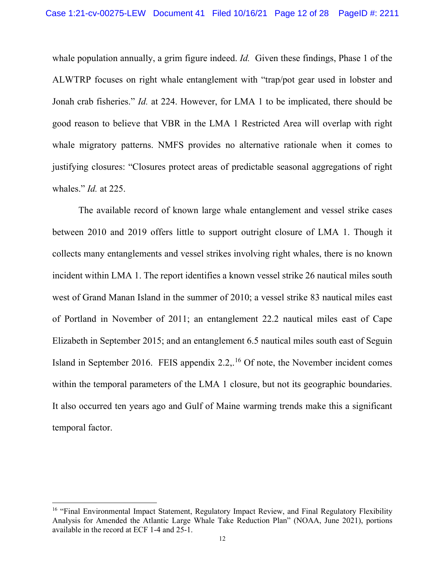whale population annually, a grim figure indeed. *Id.* Given these findings, Phase 1 of the ALWTRP focuses on right whale entanglement with "trap/pot gear used in lobster and Jonah crab fisheries." *Id.* at 224. However, for LMA 1 to be implicated, there should be good reason to believe that VBR in the LMA 1 Restricted Area will overlap with right whale migratory patterns. NMFS provides no alternative rationale when it comes to justifying closures: "Closures protect areas of predictable seasonal aggregations of right whales." *Id.* at 225.

The available record of known large whale entanglement and vessel strike cases between 2010 and 2019 offers little to support outright closure of LMA 1. Though it collects many entanglements and vessel strikes involving right whales, there is no known incident within LMA 1. The report identifies a known vessel strike 26 nautical miles south west of Grand Manan Island in the summer of 2010; a vessel strike 83 nautical miles east of Portland in November of 2011; an entanglement 22.2 nautical miles east of Cape Elizabeth in September 2015; and an entanglement 6.5 nautical miles south east of Seguin Island in September 2016. FEIS appendix  $2.2$ ,  $^{16}$  Of note, the November incident comes within the temporal parameters of the LMA 1 closure, but not its geographic boundaries. It also occurred ten years ago and Gulf of Maine warming trends make this a significant temporal factor.

<sup>&</sup>lt;sup>16</sup> "Final Environmental Impact Statement, Regulatory Impact Review, and Final Regulatory Flexibility Analysis for Amended the Atlantic Large Whale Take Reduction Plan" (NOAA, June 2021), portions available in the record at ECF 1-4 and 25-1.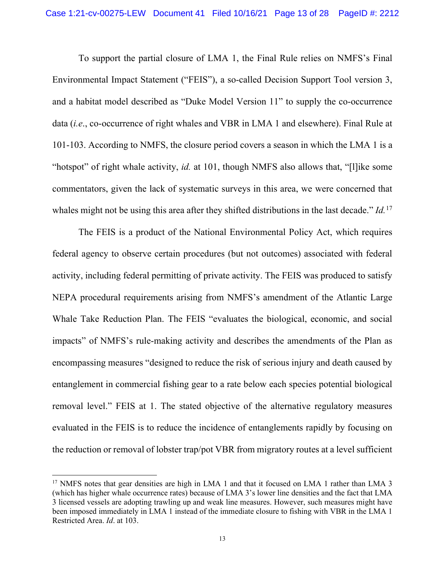To support the partial closure of LMA 1, the Final Rule relies on NMFS's Final Environmental Impact Statement ("FEIS"), a so-called Decision Support Tool version 3, and a habitat model described as "Duke Model Version 11" to supply the co-occurrence data (*i.e*., co-occurrence of right whales and VBR in LMA 1 and elsewhere). Final Rule at 101-103. According to NMFS, the closure period covers a season in which the LMA 1 is a "hotspot" of right whale activity, *id.* at 101, though NMFS also allows that, "[l]ike some commentators, given the lack of systematic surveys in this area, we were concerned that whales might not be using this area after they shifted distributions in the last decade." *Id.*17

The FEIS is a product of the National Environmental Policy Act, which requires federal agency to observe certain procedures (but not outcomes) associated with federal activity, including federal permitting of private activity. The FEIS was produced to satisfy NEPA procedural requirements arising from NMFS's amendment of the Atlantic Large Whale Take Reduction Plan. The FEIS "evaluates the biological, economic, and social impacts" of NMFS's rule-making activity and describes the amendments of the Plan as encompassing measures "designed to reduce the risk of serious injury and death caused by entanglement in commercial fishing gear to a rate below each species potential biological removal level." FEIS at 1. The stated objective of the alternative regulatory measures evaluated in the FEIS is to reduce the incidence of entanglements rapidly by focusing on the reduction or removal of lobster trap/pot VBR from migratory routes at a level sufficient

<sup>&</sup>lt;sup>17</sup> NMFS notes that gear densities are high in LMA 1 and that it focused on LMA 1 rather than LMA 3 (which has higher whale occurrence rates) because of LMA 3's lower line densities and the fact that LMA 3 licensed vessels are adopting trawling up and weak line measures. However, such measures might have been imposed immediately in LMA 1 instead of the immediate closure to fishing with VBR in the LMA 1 Restricted Area. *Id*. at 103.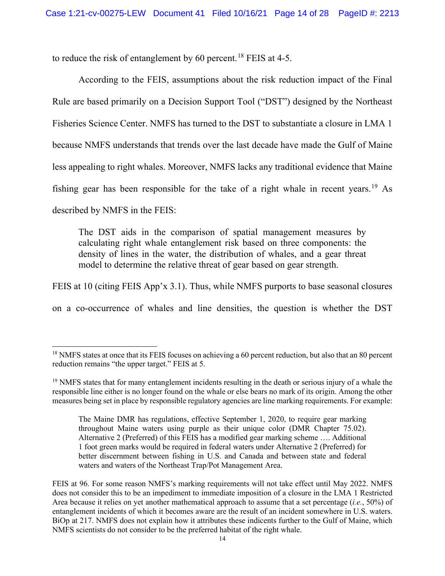to reduce the risk of entanglement by 60 percent.<sup>18</sup> FEIS at 4-5.

According to the FEIS, assumptions about the risk reduction impact of the Final Rule are based primarily on a Decision Support Tool ("DST") designed by the Northeast Fisheries Science Center. NMFS has turned to the DST to substantiate a closure in LMA 1 because NMFS understands that trends over the last decade have made the Gulf of Maine less appealing to right whales. Moreover, NMFS lacks any traditional evidence that Maine fishing gear has been responsible for the take of a right whale in recent years.<sup>19</sup> As described by NMFS in the FEIS:

The DST aids in the comparison of spatial management measures by calculating right whale entanglement risk based on three components: the density of lines in the water, the distribution of whales, and a gear threat model to determine the relative threat of gear based on gear strength.

FEIS at 10 (citing FEIS App'x 3.1). Thus, while NMFS purports to base seasonal closures on a co-occurrence of whales and line densities, the question is whether the DST

<sup>&</sup>lt;sup>18</sup> NMFS states at once that its FEIS focuses on achieving a 60 percent reduction, but also that an 80 percent reduction remains "the upper target." FEIS at 5.

<sup>&</sup>lt;sup>19</sup> NMFS states that for many entanglement incidents resulting in the death or serious injury of a whale the responsible line either is no longer found on the whale or else bears no mark of its origin. Among the other measures being set in place by responsible regulatory agencies are line marking requirements. For example:

The Maine DMR has regulations, effective September 1, 2020, to require gear marking throughout Maine waters using purple as their unique color (DMR Chapter 75.02). Alternative 2 (Preferred) of this FEIS has a modified gear marking scheme …. Additional 1 foot green marks would be required in federal waters under Alternative 2 (Preferred) for better discernment between fishing in U.S. and Canada and between state and federal waters and waters of the Northeast Trap/Pot Management Area.

FEIS at 96. For some reason NMFS's marking requirements will not take effect until May 2022. NMFS does not consider this to be an impediment to immediate imposition of a closure in the LMA 1 Restricted Area because it relies on yet another mathematical approach to assume that a set percentage (*i.e.*, 50%) of entanglement incidents of which it becomes aware are the result of an incident somewhere in U.S. waters. BiOp at 217. NMFS does not explain how it attributes these indicents further to the Gulf of Maine, which NMFS scientists do not consider to be the preferred habitat of the right whale.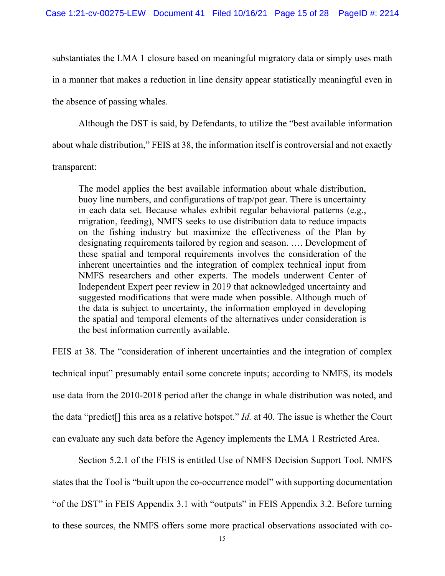substantiates the LMA 1 closure based on meaningful migratory data or simply uses math in a manner that makes a reduction in line density appear statistically meaningful even in the absence of passing whales.

Although the DST is said, by Defendants, to utilize the "best available information about whale distribution," FEIS at 38, the information itself is controversial and not exactly transparent:

The model applies the best available information about whale distribution, buoy line numbers, and configurations of trap/pot gear. There is uncertainty in each data set. Because whales exhibit regular behavioral patterns (e.g., migration, feeding), NMFS seeks to use distribution data to reduce impacts on the fishing industry but maximize the effectiveness of the Plan by designating requirements tailored by region and season. …. Development of these spatial and temporal requirements involves the consideration of the inherent uncertainties and the integration of complex technical input from NMFS researchers and other experts. The models underwent Center of Independent Expert peer review in 2019 that acknowledged uncertainty and suggested modifications that were made when possible. Although much of the data is subject to uncertainty, the information employed in developing the spatial and temporal elements of the alternatives under consideration is the best information currently available.

FEIS at 38. The "consideration of inherent uncertainties and the integration of complex technical input" presumably entail some concrete inputs; according to NMFS, its models use data from the 2010-2018 period after the change in whale distribution was noted, and the data "predict[] this area as a relative hotspot." *Id.* at 40. The issue is whether the Court can evaluate any such data before the Agency implements the LMA 1 Restricted Area.

Section 5.2.1 of the FEIS is entitled Use of NMFS Decision Support Tool. NMFS states that the Tool is "built upon the co-occurrence model" with supporting documentation "of the DST" in FEIS Appendix 3.1 with "outputs" in FEIS Appendix 3.2. Before turning to these sources, the NMFS offers some more practical observations associated with co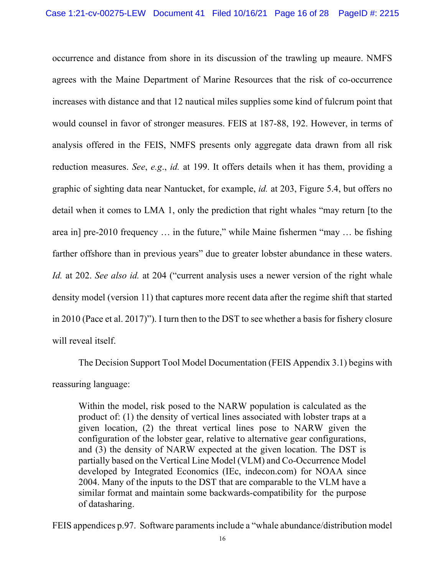occurrence and distance from shore in its discussion of the trawling up meaure. NMFS agrees with the Maine Department of Marine Resources that the risk of co-occurrence increases with distance and that 12 nautical miles supplies some kind of fulcrum point that would counsel in favor of stronger measures. FEIS at 187-88, 192. However, in terms of analysis offered in the FEIS, NMFS presents only aggregate data drawn from all risk reduction measures. *See*, *e.g*., *id.* at 199. It offers details when it has them, providing a graphic of sighting data near Nantucket, for example, *id.* at 203, Figure 5.4, but offers no detail when it comes to LMA 1, only the prediction that right whales "may return [to the area in] pre-2010 frequency … in the future," while Maine fishermen "may … be fishing farther offshore than in previous years" due to greater lobster abundance in these waters. *Id.* at 202. *See also id.* at 204 ("current analysis uses a newer version of the right whale density model (version 11) that captures more recent data after the regime shift that started in 2010 (Pace et al. 2017)"). I turn then to the DST to see whether a basis for fishery closure will reveal itself.

 The Decision Support Tool Model Documentation (FEIS Appendix 3.1) begins with reassuring language:

Within the model, risk posed to the NARW population is calculated as the product of: (1) the density of vertical lines associated with lobster traps at a given location, (2) the threat vertical lines pose to NARW given the configuration of the lobster gear, relative to alternative gear configurations, and (3) the density of NARW expected at the given location. The DST is partially based on the Vertical Line Model (VLM) and Co-Occurrence Model developed by Integrated Economics (IEc, indecon.com) for NOAA since 2004. Many of the inputs to the DST that are comparable to the VLM have a similar format and maintain some backwards-compatibility for the purpose of datasharing.

FEIS appendices p.97. Software paraments include a "whale abundance/distribution model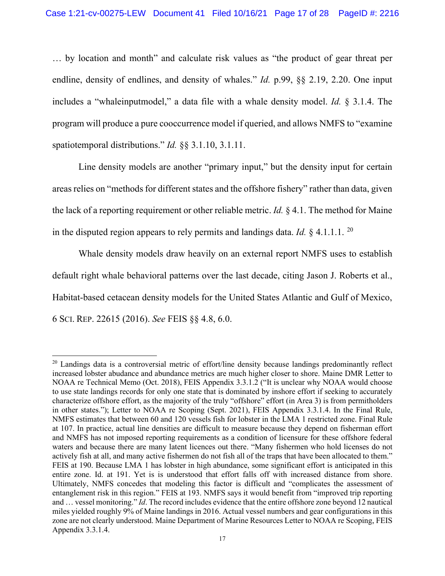… by location and month" and calculate risk values as "the product of gear threat per endline, density of endlines, and density of whales." *Id.* p.99, §§ 2.19, 2.20. One input includes a "whaleinputmodel," a data file with a whale density model. *Id.* § 3.1.4. The program will produce a pure cooccurrence model if queried, and allows NMFS to "examine spatiotemporal distributions." *Id.* §§ 3.1.10, 3.1.11.

Line density models are another "primary input," but the density input for certain areas relies on "methods for different states and the offshore fishery" rather than data, given the lack of a reporting requirement or other reliable metric. *Id.* § 4.1. The method for Maine in the disputed region appears to rely permits and landings data. *Id.* § 4.1.1.1. 20

Whale density models draw heavily on an external report NMFS uses to establish default right whale behavioral patterns over the last decade, citing Jason J. Roberts et al., Habitat-based cetacean density models for the United States Atlantic and Gulf of Mexico, 6 SCI. REP. 22615 (2016). *See* FEIS §§ 4.8, 6.0.

<sup>&</sup>lt;sup>20</sup> Landings data is a controversial metric of effort/line density because landings predominantly reflect increased lobster abudance and abundance metrics are much higher closer to shore. Maine DMR Letter to NOAA re Technical Memo (Oct. 2018), FEIS Appendix 3.3.1.2 ("It is unclear why NOAA would choose to use state landings records for only one state that is dominated by inshore effort if seeking to accurately characterize offshore effort, as the majority of the truly "offshore" effort (in Area 3) is from permitholders in other states."); Letter to NOAA re Scoping (Sept. 2021), FEIS Appendix 3.3.1.4. In the Final Rule, NMFS estimates that between 60 and 120 vessels fish for lobster in the LMA 1 restricted zone. Final Rule at 107. In practice, actual line densities are difficult to measure because they depend on fisherman effort and NMFS has not imposed reporting requirements as a condition of licensure for these offshore federal waters and because there are many latent licences out there. "Many fishermen who hold licenses do not actively fish at all, and many active fishermen do not fish all of the traps that have been allocated to them." FEIS at 190. Because LMA 1 has lobster in high abundance, some significant effort is anticipated in this entire zone. Id. at 191. Yet is is understood that effort falls off with increased distance from shore. Ultimately, NMFS concedes that modeling this factor is difficult and "complicates the assessment of entanglement risk in this region." FEIS at 193. NMFS says it would benefit from "improved trip reporting and … vessel monitoring." *Id*. The record includes evidence that the entire offshore zone beyond 12 nautical miles yielded roughly 9% of Maine landings in 2016. Actual vessel numbers and gear configurations in this zone are not clearly understood. Maine Department of Marine Resources Letter to NOAA re Scoping, FEIS Appendix 3.3.1.4.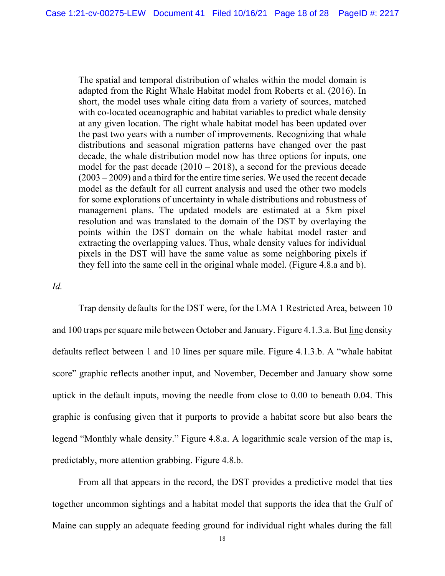The spatial and temporal distribution of whales within the model domain is adapted from the Right Whale Habitat model from Roberts et al. (2016). In short, the model uses whale citing data from a variety of sources, matched with co-located oceanographic and habitat variables to predict whale density at any given location. The right whale habitat model has been updated over the past two years with a number of improvements. Recognizing that whale distributions and seasonal migration patterns have changed over the past decade, the whale distribution model now has three options for inputs, one model for the past decade  $(2010 - 2018)$ , a second for the previous decade (2003 – 2009) and a third for the entire time series. We used the recent decade model as the default for all current analysis and used the other two models for some explorations of uncertainty in whale distributions and robustness of management plans. The updated models are estimated at a 5km pixel resolution and was translated to the domain of the DST by overlaying the points within the DST domain on the whale habitat model raster and extracting the overlapping values. Thus, whale density values for individual pixels in the DST will have the same value as some neighboring pixels if they fell into the same cell in the original whale model. (Figure 4.8.a and b).

#### *Id.*

 Trap density defaults for the DST were, for the LMA 1 Restricted Area, between 10 and 100 traps per square mile between October and January. Figure 4.1.3.a. But line density defaults reflect between 1 and 10 lines per square mile. Figure 4.1.3.b. A "whale habitat score" graphic reflects another input, and November, December and January show some uptick in the default inputs, moving the needle from close to 0.00 to beneath 0.04. This graphic is confusing given that it purports to provide a habitat score but also bears the legend "Monthly whale density." Figure 4.8.a. A logarithmic scale version of the map is, predictably, more attention grabbing. Figure 4.8.b.

From all that appears in the record, the DST provides a predictive model that ties together uncommon sightings and a habitat model that supports the idea that the Gulf of Maine can supply an adequate feeding ground for individual right whales during the fall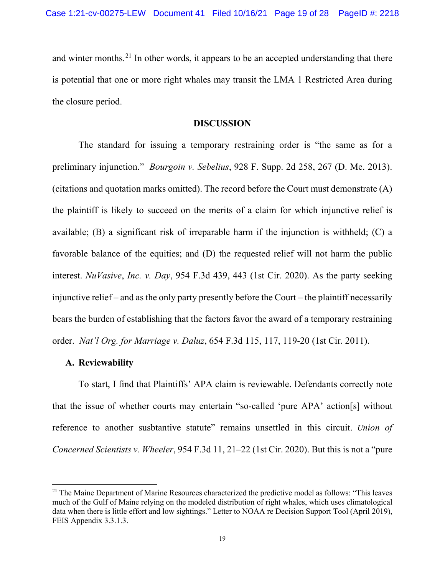and winter months.<sup>21</sup> In other words, it appears to be an accepted understanding that there is potential that one or more right whales may transit the LMA 1 Restricted Area during the closure period.

#### **DISCUSSION**

The standard for issuing a temporary restraining order is "the same as for a preliminary injunction." *Bourgoin v. Sebelius*, 928 F. Supp. 2d 258, 267 (D. Me. 2013). (citations and quotation marks omitted). The record before the Court must demonstrate (A) the plaintiff is likely to succeed on the merits of a claim for which injunctive relief is available; (B) a significant risk of irreparable harm if the injunction is withheld; (C) a favorable balance of the equities; and (D) the requested relief will not harm the public interest. *NuVasive*, *Inc. v. Day*, 954 F.3d 439, 443 (1st Cir. 2020). As the party seeking injunctive relief – and as the only party presently before the Court – the plaintiff necessarily bears the burden of establishing that the factors favor the award of a temporary restraining order. *Nat'l Org. for Marriage v. Daluz*, 654 F.3d 115, 117, 119-20 (1st Cir. 2011).

#### **A. Reviewability**

To start, I find that Plaintiffs' APA claim is reviewable. Defendants correctly note that the issue of whether courts may entertain "so-called 'pure APA' action[s] without reference to another susbtantive statute" remains unsettled in this circuit. *Union of Concerned Scientists v. Wheeler*, 954 F.3d 11, 21–22 (1st Cir. 2020). But this is not a "pure

<sup>&</sup>lt;sup>21</sup> The Maine Department of Marine Resources characterized the predictive model as follows: "This leaves" much of the Gulf of Maine relying on the modeled distribution of right whales, which uses climatological data when there is little effort and low sightings." Letter to NOAA re Decision Support Tool (April 2019), FEIS Appendix 3.3.1.3.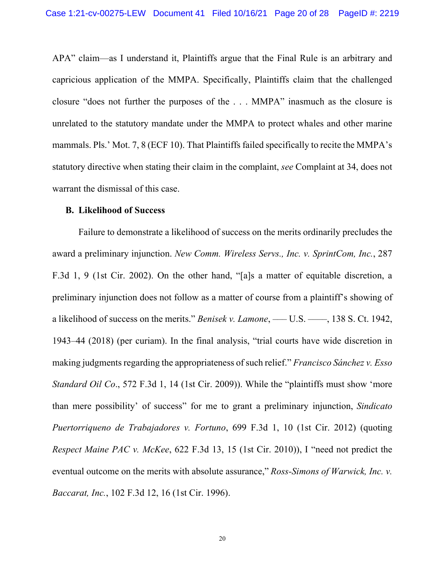APA" claim—as I understand it, Plaintiffs argue that the Final Rule is an arbitrary and capricious application of the MMPA. Specifically, Plaintiffs claim that the challenged closure "does not further the purposes of the . . . MMPA" inasmuch as the closure is unrelated to the statutory mandate under the MMPA to protect whales and other marine mammals. Pls.' Mot. 7, 8 (ECF 10). That Plaintiffs failed specifically to recite the MMPA's statutory directive when stating their claim in the complaint, *see* Complaint at 34, does not warrant the dismissal of this case.

#### **B. Likelihood of Success**

Failure to demonstrate a likelihood of success on the merits ordinarily precludes the award a preliminary injunction. *New Comm. Wireless Servs., Inc. v. SprintCom, Inc.*, 287 F.3d 1, 9 (1st Cir. 2002). On the other hand, "[a]s a matter of equitable discretion, a preliminary injunction does not follow as a matter of course from a plaintiff's showing of a likelihood of success on the merits." *Benisek v. Lamone*, — U.S. — , 138 S. Ct. 1942, 1943–44 (2018) (per curiam). In the final analysis, "trial courts have wide discretion in making judgments regarding the appropriateness of such relief." *Francisco Sánchez v. Esso Standard Oil Co*., 572 F.3d 1, 14 (1st Cir. 2009)). While the "plaintiffs must show 'more than mere possibility' of success" for me to grant a preliminary injunction, *Sindicato Puertorriqueno de Trabajadores v. Fortuno*, 699 F.3d 1, 10 (1st Cir. 2012) (quoting *Respect Maine PAC v. McKee*, 622 F.3d 13, 15 (1st Cir. 2010)), I "need not predict the eventual outcome on the merits with absolute assurance," *Ross-Simons of Warwick, Inc. v. Baccarat, Inc.*, 102 F.3d 12, 16 (1st Cir. 1996).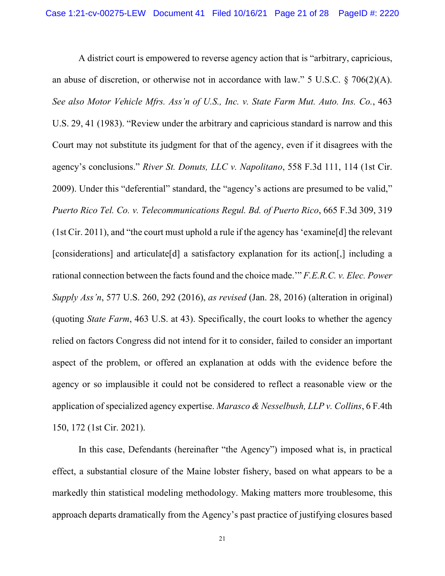A district court is empowered to reverse agency action that is "arbitrary, capricious, an abuse of discretion, or otherwise not in accordance with law." 5 U.S.C.  $\S$  706(2)(A). *See also Motor Vehicle Mfrs. Ass'n of U.S., Inc. v. State Farm Mut. Auto. Ins. Co.*, 463 U.S. 29, 41 (1983). "Review under the arbitrary and capricious standard is narrow and this Court may not substitute its judgment for that of the agency, even if it disagrees with the agency's conclusions." *River St. Donuts, LLC v. Napolitano*, 558 F.3d 111, 114 (1st Cir. 2009). Under this "deferential" standard, the "agency's actions are presumed to be valid," *Puerto Rico Tel. Co. v. Telecommunications Regul. Bd. of Puerto Rico*, 665 F.3d 309, 319 (1st Cir. 2011), and "the court must uphold a rule if the agency has 'examine[d] the relevant [considerations] and articulate[d] a satisfactory explanation for its action[,] including a rational connection between the facts found and the choice made.'" *F.E.R.C. v. Elec. Power Supply Ass'n*, 577 U.S. 260, 292 (2016), *as revised* (Jan. 28, 2016) (alteration in original) (quoting *State Farm*, 463 U.S. at 43). Specifically, the court looks to whether the agency relied on factors Congress did not intend for it to consider, failed to consider an important aspect of the problem, or offered an explanation at odds with the evidence before the agency or so implausible it could not be considered to reflect a reasonable view or the application of specialized agency expertise. *Marasco & Nesselbush, LLP v. Collins*, 6 F.4th 150, 172 (1st Cir. 2021).

In this case, Defendants (hereinafter "the Agency") imposed what is, in practical effect, a substantial closure of the Maine lobster fishery, based on what appears to be a markedly thin statistical modeling methodology. Making matters more troublesome, this approach departs dramatically from the Agency's past practice of justifying closures based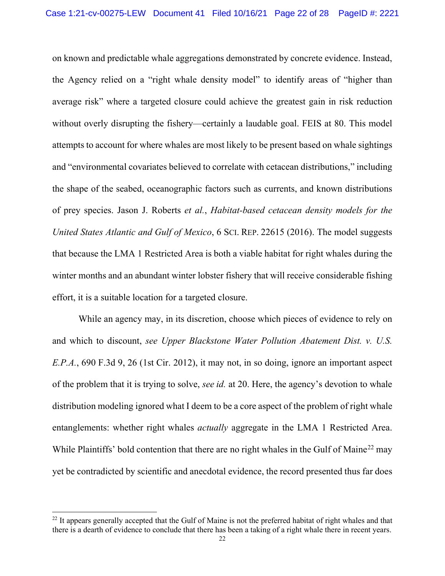on known and predictable whale aggregations demonstrated by concrete evidence. Instead, the Agency relied on a "right whale density model" to identify areas of "higher than average risk" where a targeted closure could achieve the greatest gain in risk reduction without overly disrupting the fishery—certainly a laudable goal. FEIS at 80. This model attempts to account for where whales are most likely to be present based on whale sightings and "environmental covariates believed to correlate with cetacean distributions," including the shape of the seabed, oceanographic factors such as currents, and known distributions of prey species. Jason J. Roberts *et al.*, *Habitat-based cetacean density models for the United States Atlantic and Gulf of Mexico*, 6 SCI. REP. 22615 (2016). The model suggests that because the LMA 1 Restricted Area is both a viable habitat for right whales during the winter months and an abundant winter lobster fishery that will receive considerable fishing effort, it is a suitable location for a targeted closure.

 While an agency may, in its discretion, choose which pieces of evidence to rely on and which to discount, *see Upper Blackstone Water Pollution Abatement Dist. v. U.S. E.P.A.*, 690 F.3d 9, 26 (1st Cir. 2012), it may not, in so doing, ignore an important aspect of the problem that it is trying to solve, *see id.* at 20. Here, the agency's devotion to whale distribution modeling ignored what I deem to be a core aspect of the problem of right whale entanglements: whether right whales *actually* aggregate in the LMA 1 Restricted Area. While Plaintiffs' bold contention that there are no right whales in the Gulf of Maine<sup>22</sup> may yet be contradicted by scientific and anecdotal evidence, the record presented thus far does

<sup>&</sup>lt;sup>22</sup> It appears generally accepted that the Gulf of Maine is not the preferred habitat of right whales and that there is a dearth of evidence to conclude that there has been a taking of a right whale there in recent years.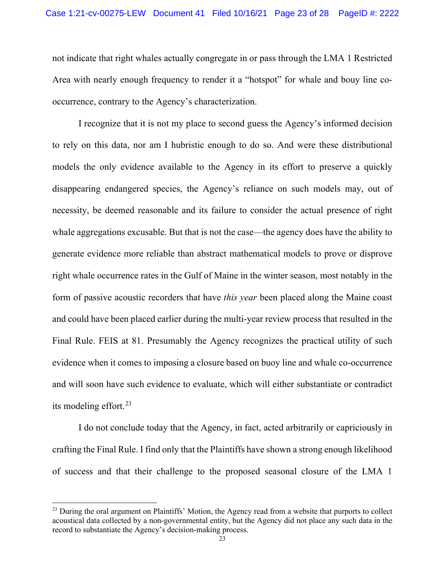not indicate that right whales actually congregate in or pass through the LMA 1 Restricted Area with nearly enough frequency to render it a "hotspot" for whale and bouy line cooccurrence, contrary to the Agency's characterization.

I recognize that it is not my place to second guess the Agency's informed decision to rely on this data, nor am I hubristic enough to do so. And were these distributional models the only evidence available to the Agency in its effort to preserve a quickly disappearing endangered species, the Agency's reliance on such models may, out of necessity, be deemed reasonable and its failure to consider the actual presence of right whale aggregations excusable. But that is not the case—the agency does have the ability to generate evidence more reliable than abstract mathematical models to prove or disprove right whale occurrence rates in the Gulf of Maine in the winter season, most notably in the form of passive acoustic recorders that have *this year* been placed along the Maine coast and could have been placed earlier during the multi-year review process that resulted in the Final Rule. FEIS at 81. Presumably the Agency recognizes the practical utility of such evidence when it comes to imposing a closure based on buoy line and whale co-occurrence and will soon have such evidence to evaluate, which will either substantiate or contradict its modeling effort.23

I do not conclude today that the Agency, in fact, acted arbitrarily or capriciously in crafting the Final Rule. I find only that the Plaintiffs have shown a strong enough likelihood of success and that their challenge to the proposed seasonal closure of the LMA 1

<sup>&</sup>lt;sup>23</sup> During the oral argument on Plaintiffs' Motion, the Agency read from a website that purports to collect acoustical data collected by a non-governmental entity, but the Agency did not place any such data in the record to substantiate the Agency's decision-making process.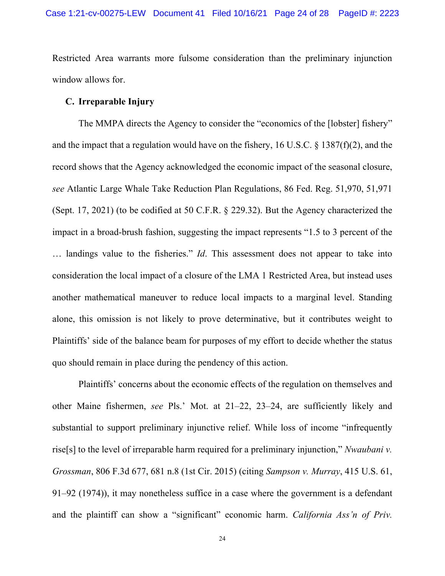Restricted Area warrants more fulsome consideration than the preliminary injunction window allows for.

## **C. Irreparable Injury**

The MMPA directs the Agency to consider the "economics of the [lobster] fishery" and the impact that a regulation would have on the fishery, 16 U.S.C. § 1387(f)(2), and the record shows that the Agency acknowledged the economic impact of the seasonal closure, *see* Atlantic Large Whale Take Reduction Plan Regulations, 86 Fed. Reg. 51,970, 51,971 (Sept. 17, 2021) (to be codified at 50 C.F.R. § 229.32). But the Agency characterized the impact in a broad-brush fashion, suggesting the impact represents "1.5 to 3 percent of the … landings value to the fisheries." *Id*. This assessment does not appear to take into consideration the local impact of a closure of the LMA 1 Restricted Area, but instead uses another mathematical maneuver to reduce local impacts to a marginal level. Standing alone, this omission is not likely to prove determinative, but it contributes weight to Plaintiffs' side of the balance beam for purposes of my effort to decide whether the status quo should remain in place during the pendency of this action.

Plaintiffs' concerns about the economic effects of the regulation on themselves and other Maine fishermen, *see* Pls.' Mot. at 21–22, 23–24, are sufficiently likely and substantial to support preliminary injunctive relief. While loss of income "infrequently rise[s] to the level of irreparable harm required for a preliminary injunction," *Nwaubani v. Grossman*, 806 F.3d 677, 681 n.8 (1st Cir. 2015) (citing *Sampson v. Murray*, 415 U.S. 61, 91–92 (1974)), it may nonetheless suffice in a case where the government is a defendant and the plaintiff can show a "significant" economic harm. *California Ass'n of Priv.*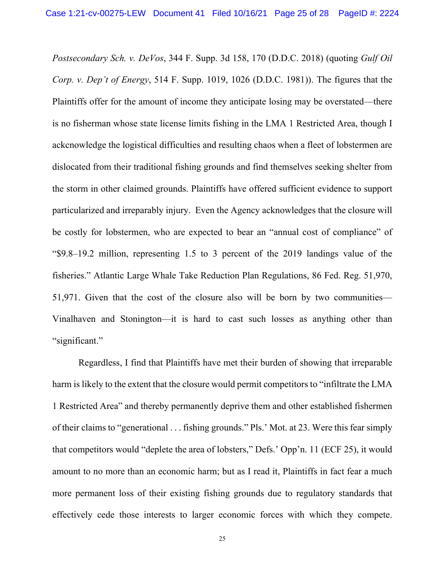*Postsecondary Sch. v. DeVos*, 344 F. Supp. 3d 158, 170 (D.D.C. 2018) (quoting *Gulf Oil Corp. v. Dep't of Energy*, 514 F. Supp. 1019, 1026 (D.D.C. 1981)). The figures that the Plaintiffs offer for the amount of income they anticipate losing may be overstated—there is no fisherman whose state license limits fishing in the LMA 1 Restricted Area, though I ackcnowledge the logistical difficulties and resulting chaos when a fleet of lobstermen are dislocated from their traditional fishing grounds and find themselves seeking shelter from the storm in other claimed grounds. Plaintiffs have offered sufficient evidence to support particularized and irreparably injury. Even the Agency acknowledges that the closure will be costly for lobstermen, who are expected to bear an "annual cost of compliance" of "\$9.8–19.2 million, representing 1.5 to 3 percent of the 2019 landings value of the fisheries." Atlantic Large Whale Take Reduction Plan Regulations, 86 Fed. Reg. 51,970, 51,971. Given that the cost of the closure also will be born by two communities— Vinalhaven and Stonington—it is hard to cast such losses as anything other than "significant."

 Regardless, I find that Plaintiffs have met their burden of showing that irreparable harm is likely to the extent that the closure would permit competitors to "infiltrate the LMA 1 Restricted Area" and thereby permanently deprive them and other established fishermen of their claims to "generational . . . fishing grounds." Pls.' Mot. at 23. Were this fear simply that competitors would "deplete the area of lobsters," Defs.' Opp'n. 11 (ECF 25), it would amount to no more than an economic harm; but as I read it, Plaintiffs in fact fear a much more permanent loss of their existing fishing grounds due to regulatory standards that effectively cede those interests to larger economic forces with which they compete.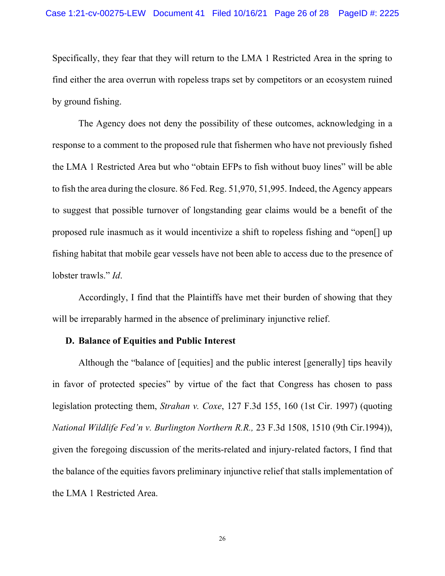Specifically, they fear that they will return to the LMA 1 Restricted Area in the spring to find either the area overrun with ropeless traps set by competitors or an ecosystem ruined by ground fishing.

The Agency does not deny the possibility of these outcomes, acknowledging in a response to a comment to the proposed rule that fishermen who have not previously fished the LMA 1 Restricted Area but who "obtain EFPs to fish without buoy lines" will be able to fish the area during the closure. 86 Fed. Reg. 51,970, 51,995. Indeed, the Agency appears to suggest that possible turnover of longstanding gear claims would be a benefit of the proposed rule inasmuch as it would incentivize a shift to ropeless fishing and "open[] up fishing habitat that mobile gear vessels have not been able to access due to the presence of lobster trawls." *Id*.

Accordingly, I find that the Plaintiffs have met their burden of showing that they will be irreparably harmed in the absence of preliminary injunctive relief.

### **D. Balance of Equities and Public Interest**

Although the "balance of [equities] and the public interest [generally] tips heavily in favor of protected species" by virtue of the fact that Congress has chosen to pass legislation protecting them, *Strahan v. Coxe*, 127 F.3d 155, 160 (1st Cir. 1997) (quoting *National Wildlife Fed'n v. Burlington Northern R.R.,* 23 F.3d 1508, 1510 (9th Cir.1994)), given the foregoing discussion of the merits-related and injury-related factors, I find that the balance of the equities favors preliminary injunctive relief that stalls implementation of the LMA 1 Restricted Area.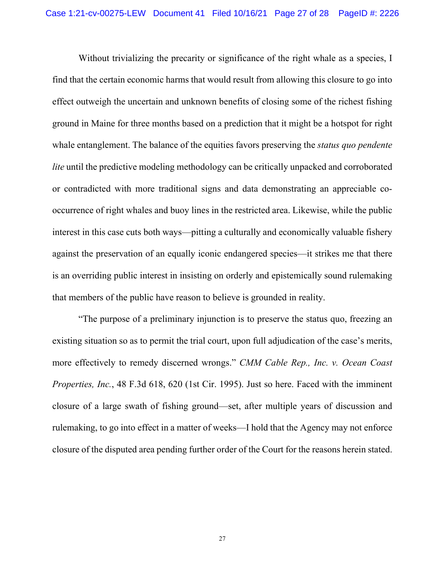Without trivializing the precarity or significance of the right whale as a species, I find that the certain economic harms that would result from allowing this closure to go into effect outweigh the uncertain and unknown benefits of closing some of the richest fishing ground in Maine for three months based on a prediction that it might be a hotspot for right whale entanglement. The balance of the equities favors preserving the *status quo pendente lite* until the predictive modeling methodology can be critically unpacked and corroborated or contradicted with more traditional signs and data demonstrating an appreciable cooccurrence of right whales and buoy lines in the restricted area. Likewise, while the public interest in this case cuts both ways—pitting a culturally and economically valuable fishery against the preservation of an equally iconic endangered species—it strikes me that there is an overriding public interest in insisting on orderly and epistemically sound rulemaking that members of the public have reason to believe is grounded in reality.

"The purpose of a preliminary injunction is to preserve the status quo, freezing an existing situation so as to permit the trial court, upon full adjudication of the case's merits, more effectively to remedy discerned wrongs." *CMM Cable Rep., Inc. v. Ocean Coast Properties, Inc.*, 48 F.3d 618, 620 (1st Cir. 1995). Just so here. Faced with the imminent closure of a large swath of fishing ground—set, after multiple years of discussion and rulemaking, to go into effect in a matter of weeks—I hold that the Agency may not enforce closure of the disputed area pending further order of the Court for the reasons herein stated.